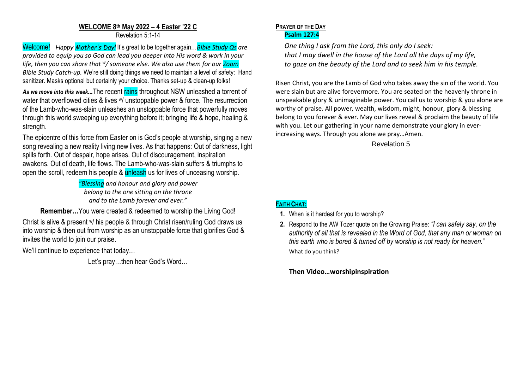#### **WELCOME 8 th May 2022 – 4 Easter '22 C** Revelation 5:1-14

Welcome! *Happy Mother's Day!* It's great to be together again…*Bible Study Qs are provided to equip you so God can lead you deeper into His word & work in your life, then you can share that <sup>w</sup> / someone else. We also use them for our Zoom Bible Study Catch-up.* We're still doing things we need to maintain a level of safety: Hand sanitizer. Masks optional but certainly your choice. Thanks set-up & clean-up folks!

As we move into this week... The recent rains throughout NSW unleashed a torrent of water that overflowed cities & lives w/ unstoppable power & force. The resurrection of the Lamb-who-was-slain unleashes an unstoppable force that powerfully moves through this world sweeping up everything before it; bringing life & hope, healing & strength.

The epicentre of this force from Easter on is God's people at worship, singing a new song revealing a new reality living new lives. As that happens: Out of darkness, light spills forth. Out of despair, hope arises. Out of discouragement, inspiration awakens. Out of death, life flows. The Lamb-who-was-slain suffers & triumphs to open the scroll, redeem his people & unleash us for lives of unceasing worship.

> *"Blessing and honour and glory and power belong to the one sitting on the throne and to the Lamb forever and ever."*

**Remember…**You were created & redeemed to worship the Living God!

Christ is alive & present w/ his people & through Christ risen/ruling God draws us into worship & then out from worship as an unstoppable force that glorifies God & invites the world to join our praise.

We'll continue to experience that today…

Let's pray…then hear God's Word…

#### **PRAYER OF THE DAY Psalm 127:4**

*One thing I ask from the Lord, this only do I seek: that I may dwell in the house of the Lord all the days of my life, to gaze on the beauty of the Lord and to seek him in his temple.*

Risen Christ, you are the Lamb of God who takes away the sin of the world. You were slain but are alive forevermore. You are seated on the heavenly throne in unspeakable glory & unimaginable power. You call us to worship & you alone are worthy of praise. All power, wealth, wisdom, might, honour, glory & blessing belong to you forever & ever. May our lives reveal & proclaim the beauty of life with you. Let our gathering in your name demonstrate your glory in everincreasing ways. Through you alone we pray…Amen.

Revelation 5

# **FAITH CHAT:**

**1.** When is it hardest for you to worship?

**2.** Respond to the AW Tozer quote on the Growing Praise: *"I can safely say, on the authority of all that is revealed in the Word of God, that any man or woman on this earth who is bored & turned off by worship is not ready for heaven."* What do you think?

# **Then Video…worshipinspiration**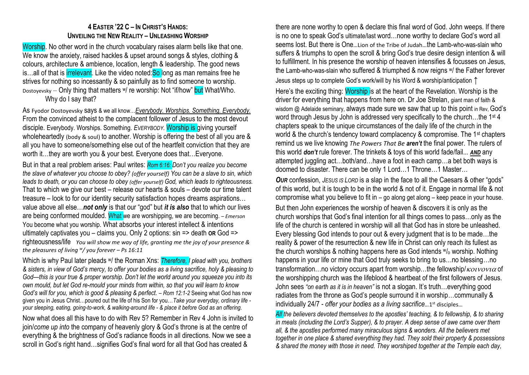# **4 EASTER '22 C – IN CHRIST'S HANDS: UNVEILING THE NEW REALITY – UNLEASHING WORSHIP**

Worship. No other word in the church vocabulary raises alarm bells like that one. We know the anxiety, raised hackles & upset around songs & styles, clothing & colours, architecture & ambience, location, length & leadership. The good news is...all of that is *irrelevant*. Like the video noted: So long as man remains free he strives for nothing so incessantly & so painfully as to find someone to worship. Dostoyevsky – Only thing that matters w/ re worship: Not "if/how" but What/Who. Why do I say that?

As Fyodor Dostoyevsky says & we all know…*Everybody. Worships. Something. Everybody.* From the convinced atheist to the complacent follower of Jesus to the most devout disciple. Everybody. Worships. Something. *EVERYBODY.* Worship is giving yourself wholeheartedly (body & soul) to another. Worship is offering the best of all you are & all you have to someone/something else out of the heartfelt conviction that they are worth it…they are worth you & your best. Everyone does that…Everyone.

But in that a real problem arises: Paul writes: *Rom 6:16: Don't you realize you become the slave of whatever you choose to obey? (offer yourself) You can be a slave to sin, which leads to death, or you can choose to obey (offer yourself) God, which leads to righteousness.* That to which we give our best – release our hearts & souls – devote our time talent treasure – look to for our identity security satisfaction hopes dreams aspirations… value above all else…*not only* is that our "god" but *it is also* that to which our lives are being conformed moulded. What we are worshipping, we are becoming. *– Emerson* You become what you worship. What absorbs your interest intellect & intentions ultimately captivates you – claims you. Only 2 options: sin => death **OR** God => righteousness/life *You will show me way of life, granting me the joy of your presence & the pleasures of living <sup>w</sup> / you forever – Ps 16:11*

Which is why Paul later pleads w/ the Roman Xns: *Therefore, I plead with you, brothers & sisters, in view of God's mercy, to offer your bodies as a living sacrifice, holy & pleasing to God—this is your true & proper worship. Don't let the world around you squeeze you into its own mould, but let God re-mould your minds from within, so that you will learn to know God's will for you, which is good & pleasing & perfect. – Rom 12:1-2 Seeing what God has now* given you in Jesus Christ…poured out the life of his Son for you…*Take your everyday, ordinary life your sleeping, eating, going-to-work, & walking-around life - & place it before God as an offering.*

Now what does all this have to do with Rev 5? Remember in Rev 4 John is invited to join/*come up into* the company of heavenly glory & God's throne is at the centre of everything & the brightness of God's radiance floods in all directions. Now we see a scroll in God's right hand…signifies God's final word for all that God has created &

there are none worthy to open & declare this final word of God. John weeps. If there is no one to speak God's ultimate/last word…none worthy to declare God's word all seems lost. But there is One…Lion of the Tribe of Judah…the Lamb-who-was-slain who suffers & triumphs to open the scroll & bring God's true desire design intention & will to fulfillment. In his presence the worship of heaven intensifies & focusses on Jesus, the Lamb-who-was-slain who suffered & triumphed & now reigns w/ the Father forever Jesus steps up to complete God's work/will by his Word & worship/anticipation **↑** Here's the exciting thing: Worship is at the heart of the Revelation. Worship is the driver for everything that happens from here on. Dr Joe Strelan, giant man of faith & wisdom @ Adelaide seminary, always made sure we saw that up to this point in Rev, God's word through Jesus by John is addressed very specifically to the church...the 1<sup>st</sup> 4 chapters speak to the unique circumstances of the daily life of the church in the world & the church's tendency toward complacency & compromise. The 1<sup>st</sup> chapters remind us we live knowing *The Powers That Be aren't* the final power. The rulers of this world *don't* rule forever. The trinkets & toys of this world fade/fail... *AND* any attempted juggling act…both/and…have a foot in each camp…a bet both ways is doomed to disaster. There can be only 1 Lord…1 Throne…1 Master…

*OUR* confession, *JESUS IS LORD* is a slap in the face to all the Caesars & other "gods" of this world, but it is tough to be in the world & not of it. Engage in normal life & not compromise what you believe to fit in – go along get along – keep peace in your house. But then John experiences the worship of heaven & discovers it is only as the church worships that God's final intention for all things comes to pass…only as the life of the church is centered in worship will all that God has in store be unleashed. Every blessing God intends to pour out & every judgment that is to be made…the reality & power of the resurrection & new life in Christ can only reach its fullest as the church worships & nothing happens here as God intends  $w_0$  worship. Nothing happens in your life or mine that God truly seeks to bring to us...no blessing...no transformation...no victory occurs apart from worship...the fellowship/ $\kappa$ otvovia of the worshipping church was the lifeblood & heartbeat of the first followers of Jesus. John sees *"on earth as it is in heaven"* is not a slogan. It's truth…everything good radiates from the throne as God's people surround it in worship…communally & individually 24/7 - *offer your bodies as a living sacrifice…*1 st disciples…

*All the believers devoted themselves to the apostles' teaching, & to fellowship, & to sharing in meals (including the Lord's Supper), & to prayer. A deep sense of awe came over them all, & the apostles performed many miraculous signs & wonders. All the believers met together in one place & shared everything they had. They sold their property & possessions & shared the money with those in need. They worshiped together at the Temple each day,*